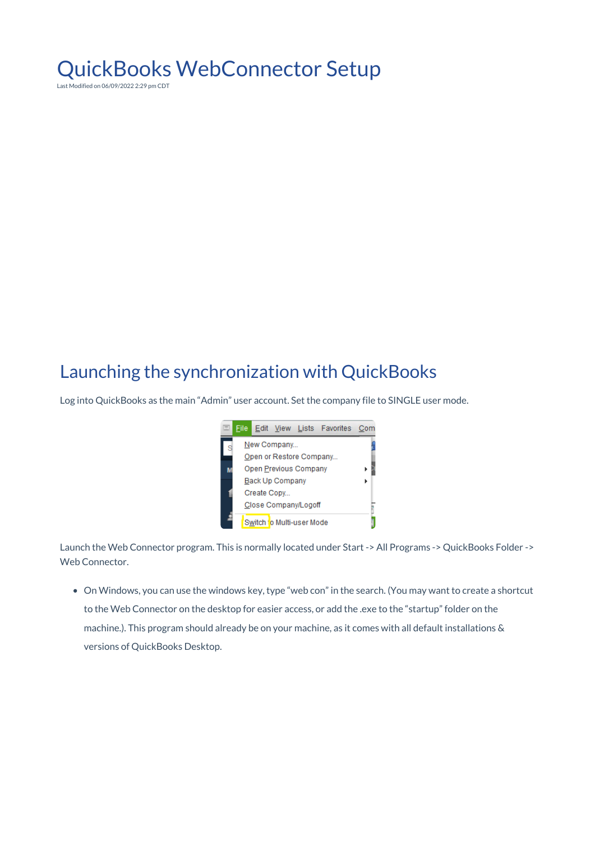# QuickBooks WebConnector Setup

Last Modified on 06/09/2022 2:29 pm CDT

### Launching the synchronization with QuickBooks

Log into QuickBooks as the main "Admin" user account. Set the company file to SINGLE user mode.



Launch the Web Connector program. This is normally located under Start -> All Programs -> QuickBooks Folder -> Web Connector.

On Windows, you can use the windows key, type "web con" in the search. (You may want to create a shortcut to the Web Connector on the desktop for easier access, or add the .exe to the "startup" folder on the machine.). This program should already be on your machine, as it comes with all default installations & versions of QuickBooks Desktop.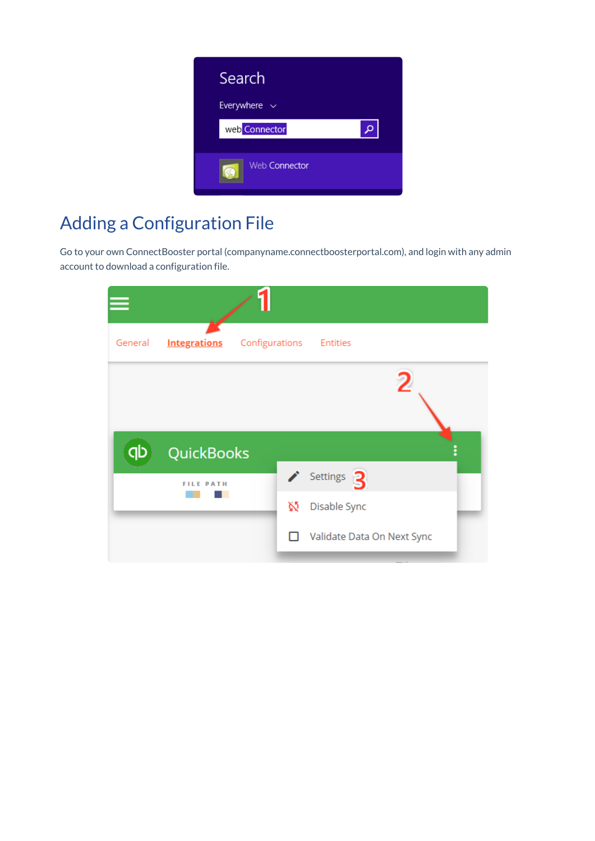

## Adding a Configuration File

Go to your own ConnectBooster portal (companyname.connectboosterportal.com), and login with any admin account to download a configuration file.

| General | <b>Integrations</b> | Configurations<br><b>Entities</b> |
|---------|---------------------|-----------------------------------|
|         |                     | $\overline{2}$                    |
|         |                     |                                   |
| qb      | <b>QuickBooks</b>   |                                   |
|         | <b>FILE PATH</b>    | Settings <sup>3</sup>             |
|         |                     | Ŵ<br>Disable Sync                 |
|         |                     | Validate Data On Next Sync<br>I I |
|         |                     |                                   |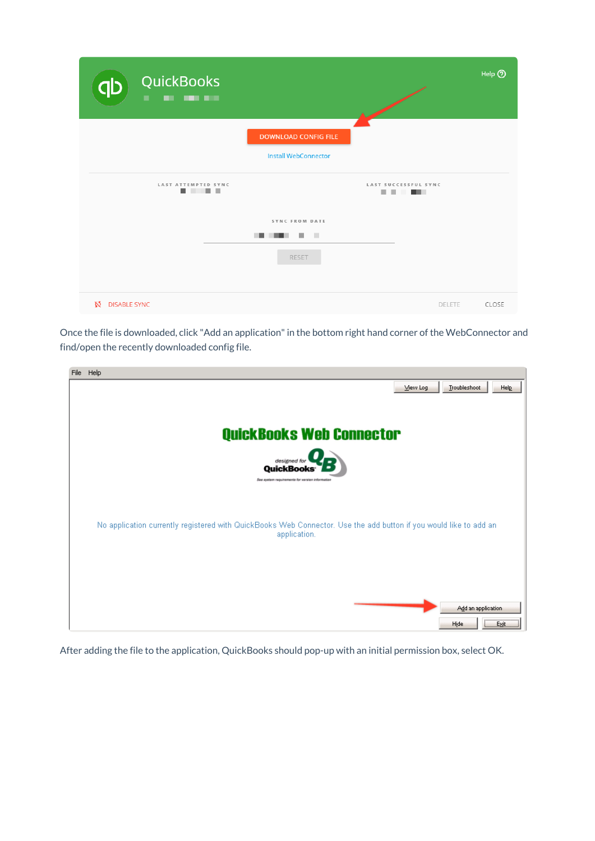| <b>QuickBooks</b><br>dp<br><b>CONTRACTOR</b><br>٠<br>$\blacksquare$ |                             |        | Help 2 |
|---------------------------------------------------------------------|-----------------------------|--------|--------|
|                                                                     | <b>DOWNLOAD CONFIG FILE</b> |        |        |
|                                                                     | <b>Install WebConnector</b> |        |        |
| LAST ATTEMPTED SYNC<br>.                                            | LAST SUCCESSFUL SYNC<br>.   |        |        |
|                                                                     | SYNC FROM DATE              |        |        |
|                                                                     | <b>In</b>                   |        |        |
|                                                                     | <b>RESET</b>                |        |        |
|                                                                     |                             |        |        |
| Ń.<br><b>DISABLE SYNC</b>                                           |                             | DELETE | CLOSE  |

Once the file is downloaded, click "Add an application" in the bottom right hand corner of the WebConnector and find/open the recently downloaded config file.

| File | Help                                                                                                                              |
|------|-----------------------------------------------------------------------------------------------------------------------------------|
|      | Troubleshoot<br>Help<br>View Log                                                                                                  |
|      |                                                                                                                                   |
|      |                                                                                                                                   |
|      | <b>QuickBooks Web Connector</b>                                                                                                   |
|      | designed for<br>QuickBooks <sup>®</sup>                                                                                           |
|      | See system requirements for version information                                                                                   |
|      |                                                                                                                                   |
|      |                                                                                                                                   |
|      | No application currently registered with QuickBooks Web Connector. Use the add button if you would like to add an<br>application. |
|      |                                                                                                                                   |
|      |                                                                                                                                   |
|      |                                                                                                                                   |
|      |                                                                                                                                   |
|      | Add an application                                                                                                                |
|      | <br>Hide<br><b>Exit</b>                                                                                                           |

After adding the file to the application, QuickBooks should pop-up with an initial permission box, select OK.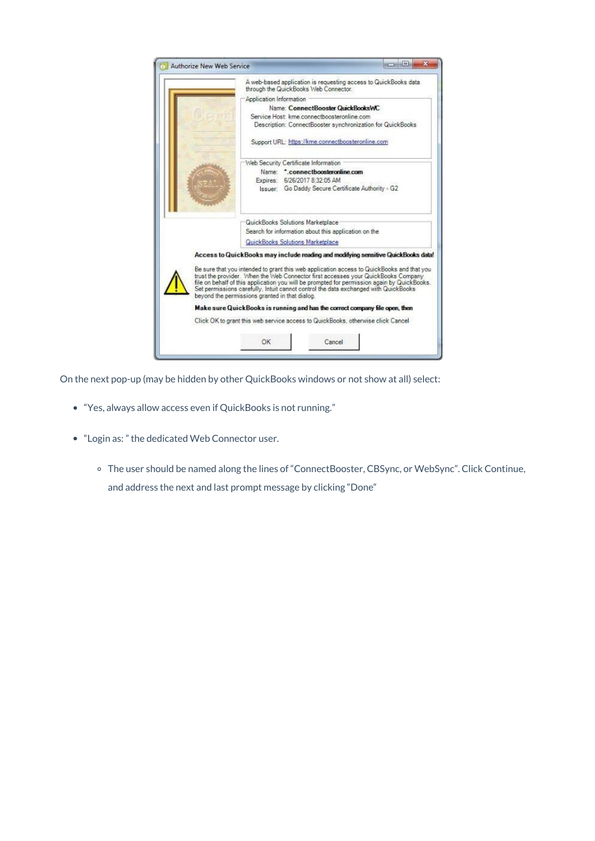

On the next pop-up (may be hidden by other QuickBooks windows or not show at all) select:

- "Yes, always allow access even if QuickBooks is not running."
- "Login as: " the dedicated Web Connector user.
	- The user should be named along the lines of "ConnectBooster, CBSync, or WebSync". Click Continue, and address the next and last prompt message by clicking "Done"